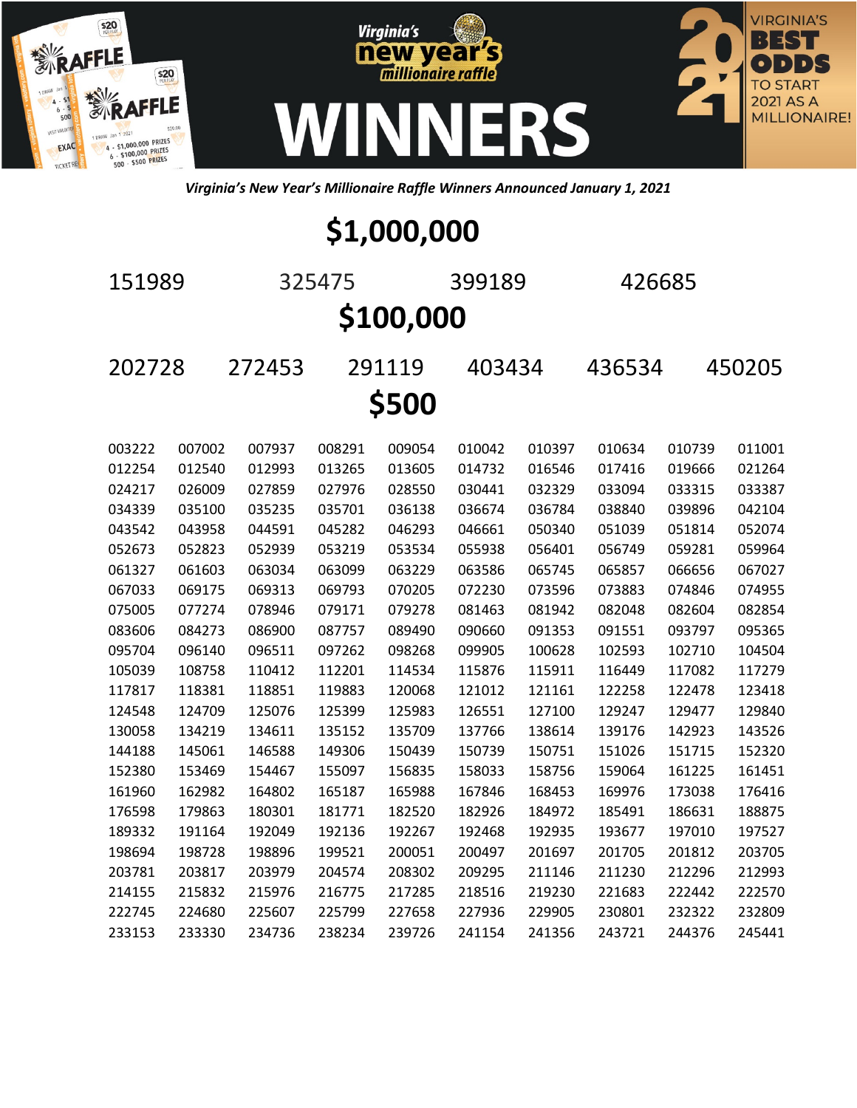





*Virginia's New Year's Millionaire Raffle Winners Announced January 1, 2021*

## **\$1,000,000**

 325475 399189 426685 **\$100,000** 272453 291119 403434 436534 450205 **\$500**

| 003222 | 007002 | 007937 | 008291 | 009054 | 010042 | 010397 | 010634 | 010739 | 011001 |
|--------|--------|--------|--------|--------|--------|--------|--------|--------|--------|
| 012254 | 012540 | 012993 | 013265 | 013605 | 014732 | 016546 | 017416 | 019666 | 021264 |
| 024217 | 026009 | 027859 | 027976 | 028550 | 030441 | 032329 | 033094 | 033315 | 033387 |
| 034339 | 035100 | 035235 | 035701 | 036138 | 036674 | 036784 | 038840 | 039896 | 042104 |
| 043542 | 043958 | 044591 | 045282 | 046293 | 046661 | 050340 | 051039 | 051814 | 052074 |
| 052673 | 052823 | 052939 | 053219 | 053534 | 055938 | 056401 | 056749 | 059281 | 059964 |
| 061327 | 061603 | 063034 | 063099 | 063229 | 063586 | 065745 | 065857 | 066656 | 067027 |
| 067033 | 069175 | 069313 | 069793 | 070205 | 072230 | 073596 | 073883 | 074846 | 074955 |
| 075005 | 077274 | 078946 | 079171 | 079278 | 081463 | 081942 | 082048 | 082604 | 082854 |
| 083606 | 084273 | 086900 | 087757 | 089490 | 090660 | 091353 | 091551 | 093797 | 095365 |
| 095704 | 096140 | 096511 | 097262 | 098268 | 099905 | 100628 | 102593 | 102710 | 104504 |
| 105039 | 108758 | 110412 | 112201 | 114534 | 115876 | 115911 | 116449 | 117082 | 117279 |
| 117817 | 118381 | 118851 | 119883 | 120068 | 121012 | 121161 | 122258 | 122478 | 123418 |
| 124548 | 124709 | 125076 | 125399 | 125983 | 126551 | 127100 | 129247 | 129477 | 129840 |
| 130058 | 134219 | 134611 | 135152 | 135709 | 137766 | 138614 | 139176 | 142923 | 143526 |
| 144188 | 145061 | 146588 | 149306 | 150439 | 150739 | 150751 | 151026 | 151715 | 152320 |
| 152380 | 153469 | 154467 | 155097 | 156835 | 158033 | 158756 | 159064 | 161225 | 161451 |
| 161960 | 162982 | 164802 | 165187 | 165988 | 167846 | 168453 | 169976 | 173038 | 176416 |
| 176598 | 179863 | 180301 | 181771 | 182520 | 182926 | 184972 | 185491 | 186631 | 188875 |
| 189332 | 191164 | 192049 | 192136 | 192267 | 192468 | 192935 | 193677 | 197010 | 197527 |
| 198694 | 198728 | 198896 | 199521 | 200051 | 200497 | 201697 | 201705 | 201812 | 203705 |
| 203781 | 203817 | 203979 | 204574 | 208302 | 209295 | 211146 | 211230 | 212296 | 212993 |
| 214155 | 215832 | 215976 | 216775 | 217285 | 218516 | 219230 | 221683 | 222442 | 222570 |
| 222745 | 224680 | 225607 | 225799 | 227658 | 227936 | 229905 | 230801 | 232322 | 232809 |
| 233153 | 233330 | 234736 | 238234 | 239726 | 241154 | 241356 | 243721 | 244376 | 245441 |